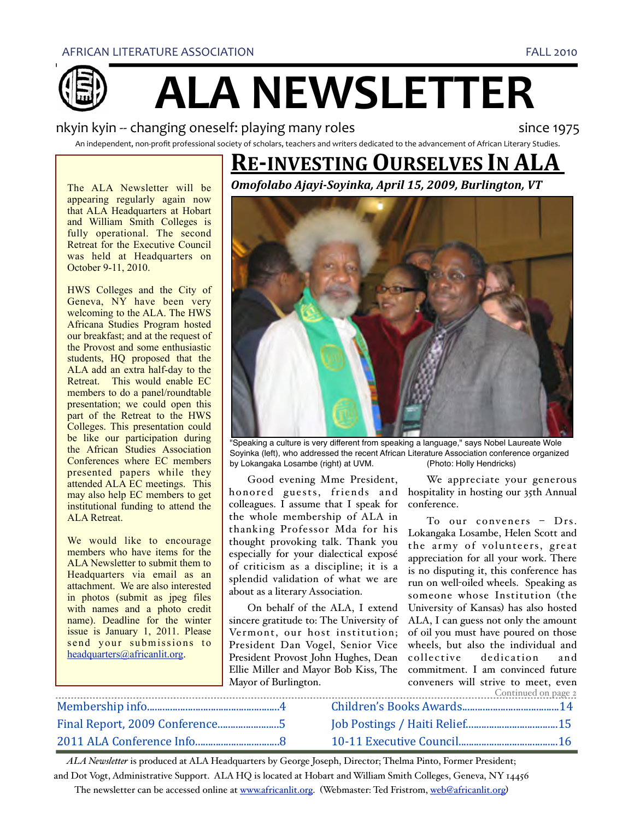

# **ALA#NEWSLETTER**

nkyin kyin -- changing oneself: playing many roles and the since 1975

An independent, non-profit professional society of scholars, teachers and writers dedicated to the advancement of African Literary Studies.

## **RE-INVESTING OURSELVES IN ALA**

The ALA Newsletter will be appearing regularly again now that ALA Headquarters at Hobart and William Smith Colleges is fully operational. The second Retreat for the Executive Council was held at Headquarters on October 9-11, 2010.

HWS Colleges and the City of Geneva, NY have been very welcoming to the ALA. The HWS Africana Studies Program hosted our breakfast; and at the request of the Provost and some enthusiastic students, HQ proposed that the ALA add an extra half-day to the Retreat. This would enable EC members to do a panel/roundtable presentation; we could open this part of the Retreat to the HWS Colleges. This presentation could be like our participation during the African Studies Association Conferences where EC members presented papers while they attended ALA EC meetings. This may also help EC members to get institutional funding to attend the ALA Retreat.

We would like to encourage members who have items for the ALA Newsletter to submit them to Headquarters via email as an attachment. We are also interested in photos (submit as jpeg files with names and a photo credit name). Deadline for the winter issue is January 1, 2011. Please send your submissions to [headquarters@africanlit.org.](mailto:joseph@hws.edu)





"Speaking a culture is very different from speaking a language," says Nobel Laureate Wole Soyinka (left), who addressed the recent African Literature Association conference organized by Lokangaka Losambe (right) at UVM. (Photo: Holly Hendricks)

Good evening Mme President, honored guests, f riends and hospitality in hosting our 35th Annual colleagues. I assume that I speak for the whole membership of ALA in thanking Professor Mda for his thought provoking talk. Thank you especially for your dialectical exposé of criticism as a discipline; it is a splendid validation of what we are about as a literary Association.

On behalf of the ALA, I extend sincere gratitude to: The University of Vermont, our host institution; President Dan Vogel, Senior Vice President Provost John Hughes, Dean Ellie Miller and Mayor Bob Kiss, The Mayor of Burlington.

We appreciate your generous conference.

To our conveners – Drs. Lokangaka Losambe, Helen Scott and the army of volunteers, great appreciation for all your work. There is no disputing it, this conference has run on well-oiled wheels. Speaking as someone whose Institution (the University of Kansas) has also hosted ALA, I can guess not only the amount of oil you must have poured on those wheels, but also the individual and collective dedication and commitment. I am convinced future conveners will strive to meet, even

| Continued on page 2 |
|---------------------|
|                     |
|                     |
|                     |

*ALA Newsletter* is produced at ALA Headquarters by George Joseph, Director; Thelma Pinto, Former President; and Dot Vogt, Administrative Support. ALA HQ is located at Hobart and William Smith Colleges, Geneva, NY 14456

The newsletter can be accessed online at [www.africanlit.org.](http://www.africanlit.org) (Webmaster: Ted Fristrom, [web@africanlit.org](mailto:web@africanlit.org))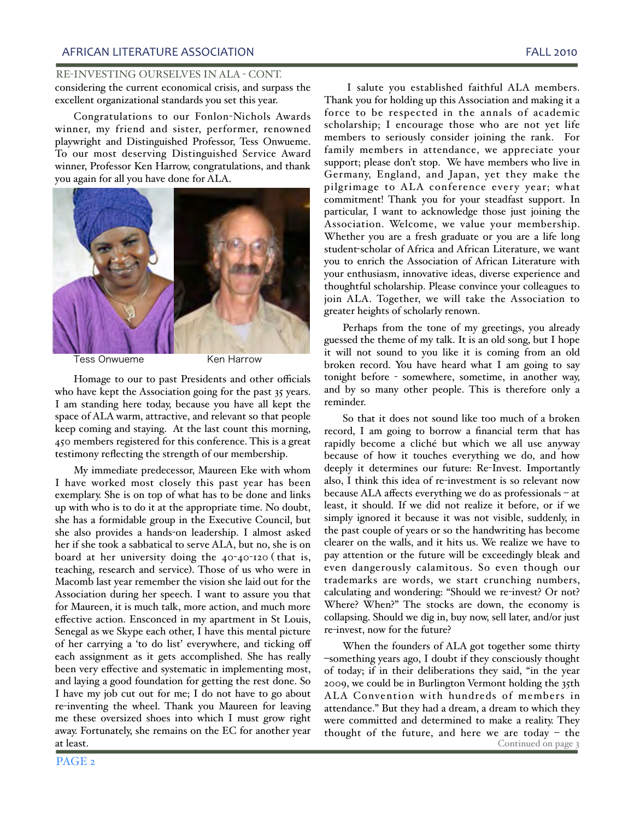#### RE-INVESTING OURSELVES IN ALA - CONT.

considering the current economical crisis, and surpass the excellent organizational standards you set this year.

Congratulations to our Fonlon-Nichols Awards winner, my friend and sister, performer, renowned playwright and Distinguished Professor, Tess Onwueme. To our most deserving Distinguished Service Award winner, Professor Ken Harrow, congratulations, and thank you again for all you have done for ALA.



Tess Onwueme **Ken Harrow** 

Homage to our to past Presidents and other officials who have kept the Association going for the past 35 years. I am standing here today, because you have all kept the space of ALA warm, attractive, and relevant so that people keep coming and staying. At the last count this morning, 450 members registered for this conference. This is a great testimony reflecting the strength of our membership.

My immediate predecessor, Maureen Eke with whom I have worked most closely this past year has been exemplary. She is on top of what has to be done and links up with who is to do it at the appropriate time. No doubt, she has a formidable group in the Executive Council, but she also provides a hands-on leadership. I almost asked her if she took a sabbatical to serve ALA, but no, she is on board at her university doing the 40-40-120 ( that is, teaching, research and service). Those of us who were in Macomb last year remember the vision she laid out for the Association during her speech. I want to assure you that for Maureen, it is much talk, more action, and much more effective action. Ensconced in my apartment in St Louis, Senegal as we Skype each other, I have this mental picture of her carrying a 'to do list' everywhere, and ticking off each assignment as it gets accomplished. She has really been very effective and systematic in implementing most, and laying a good foundation for getting the rest done. So I have my job cut out for me; I do not have to go about re-inventing the wheel. Thank you Maureen for leaving me these oversized shoes into which I must grow right away. Fortunately, she remains on the EC for another year at least.

 I salute you established faithful ALA members. Thank you for holding up this Association and making it a force to be respected in the annals of academic scholarship; I encourage those who are not yet life members to seriously consider joining the rank. For family members in attendance, we appreciate your support; please don't stop. We have members who live in Germany, England, and Japan, yet they make the pilgrimage to ALA conference every year; what commitment! Thank you for your steadfast support. In particular, I want to acknowledge those just joining the Association. Welcome, we value your membership. Whether you are a fresh graduate or you are a life long student-scholar of Africa and African Literature, we want you to enrich the Association of African Literature with your enthusiasm, innovative ideas, diverse experience and thoughtful scholarship. Please convince your colleagues to join ALA. Together, we will take the Association to greater heights of scholarly renown.

Perhaps from the tone of my greetings, you already guessed the theme of my talk. It is an old song, but I hope it will not sound to you like it is coming from an old broken record. You have heard what I am going to say tonight before - somewhere, sometime, in another way, and by so many other people. This is therefore only a reminder.

So that it does not sound like too much of a broken record, I am going to borrow a financial term that has rapidly become a cliché but which we all use anyway because of how it touches everything we do, and how deeply it determines our future: Re-Invest. Importantly also, I think this idea of re-investment is so relevant now because ALA affects everything we do as professionals – at least, it should. If we did not realize it before, or if we simply ignored it because it was not visible, suddenly, in the past couple of years or so the handwriting has become clearer on the walls, and it hits us. We realize we have to pay attention or the future will be exceedingly bleak and even dangerously calamitous. So even though our trademarks are words, we start crunching numbers, calculating and wondering: "Should we re-invest? Or not? Where? When?" The stocks are down, the economy is collapsing. Should we dig in, buy now, sell later, and/or just re-invest, now for the future?

When the founders of ALA got together some thirty –something years ago, I doubt if they consciously thought of today; if in their deliberations they said, "in the year 2009, we could be in Burlington Vermont holding the 35th ALA Convention with hundreds of members in attendance." But they had a dream, a dream to which they were committed and determined to make a reality. They thought of the future, and here we are today – the Continued on page 3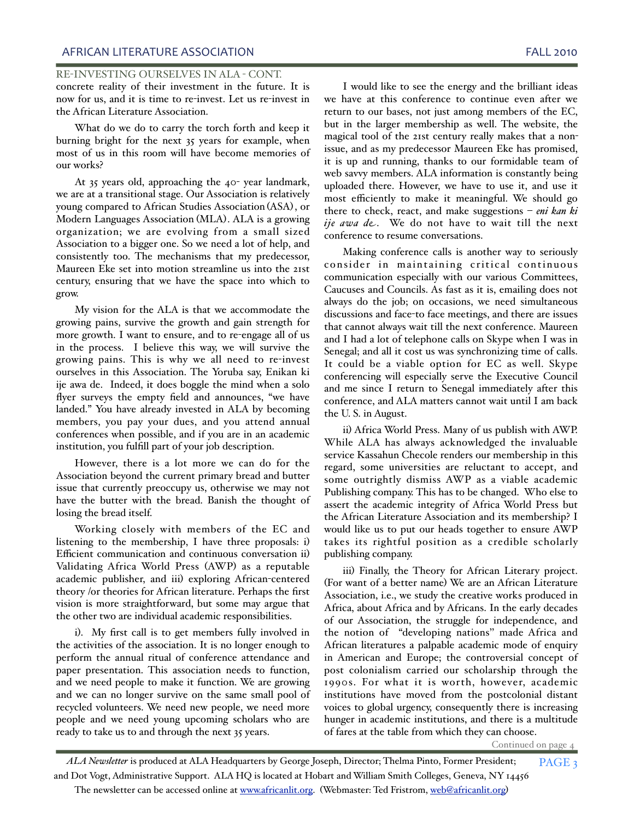#### AFRICAN'LITERATURE'ASSOCIATION FALL'2010

#### RE-INVESTING OURSELVES IN ALA - CONT.

concrete reality of their investment in the future. It is now for us, and it is time to re-invest. Let us re-invest in the African Literature Association.

What do we do to carry the torch forth and keep it burning bright for the next 35 years for example, when most of us in this room will have become memories of our works?

At 35 years old, approaching the 40- year landmark, we are at a transitional stage. Our Association is relatively young compared to African Studies Association (ASA), or Modern Languages Association (MLA). ALA is a growing organization; we are evolving from a small sized Association to a bigger one. So we need a lot of help, and consistently too. The mechanisms that my predecessor, Maureen Eke set into motion streamline us into the 21st century, ensuring that we have the space into which to grow.

My vision for the ALA is that we accommodate the growing pains, survive the growth and gain strength for more growth. I want to ensure, and to re-engage all of us in the process. I believe this way, we will survive the growing pains. This is why we all need to re-invest ourselves in this Association. The Yoruba say, Enikan ki ije awa de. Indeed, it does boggle the mind when a solo flyer surveys the empty field and announces, "we have landed." You have already invested in ALA by becoming members, you pay your dues, and you attend annual conferences when possible, and if you are in an academic institution, you fulfill part of your job description.

However, there is a lot more we can do for the Association beyond the current primary bread and butter issue that currently preoccupy us, otherwise we may not have the butter with the bread. Banish the thought of losing the bread itself.

Working closely with members of the EC and listening to the membership, I have three proposals: i) Efficient communication and continuous conversation ii) Validating Africa World Press (AWP) as a reputable academic publisher, and iii) exploring African-centered theory /or theories for African literature. Perhaps the first vision is more straightforward, but some may argue that the other two are individual academic responsibilities.

i). My first call is to get members fully involved in the activities of the association. It is no longer enough to perform the annual ritual of conference attendance and paper presentation. This association needs to function, and we need people to make it function. We are growing and we can no longer survive on the same small pool of recycled volunteers. We need new people, we need more people and we need young upcoming scholars who are ready to take us to and through the next 35 years.

I would like to see the energy and the brilliant ideas we have at this conference to continue even after we return to our bases, not just among members of the EC, but in the larger membership as well. The website, the magical tool of the 21st century really makes that a nonissue, and as my predecessor Maureen Eke has promised, it is up and running, thanks to our formidable team of web savvy members. ALA information is constantly being uploaded there. However, we have to use it, and use it most efficiently to make it meaningful. We should go there to check, react, and make suggestions – *eni kan ki ije awa de*. We do not have to wait till the next conference to resume conversations.

Making conference calls is another way to seriously consider in maintaining critical continuous communication especially with our various Committees, Caucuses and Councils. As fast as it is, emailing does not always do the job; on occasions, we need simultaneous discussions and face-to face meetings, and there are issues that cannot always wait till the next conference. Maureen and I had a lot of telephone calls on Skype when I was in Senegal; and all it cost us was synchronizing time of calls. It could be a viable option for EC as well. Skype conferencing will especially serve the Executive Council and me since I return to Senegal immediately after this conference, and ALA matters cannot wait until I am back the U. S. in August.

ii) Africa World Press. Many of us publish with AWP. While ALA has always acknowledged the invaluable service Kassahun Checole renders our membership in this regard, some universities are reluctant to accept, and some outrightly dismiss AWP as a viable academic Publishing company. This has to be changed. Who else to assert the academic integrity of Africa World Press but the African Literature Association and its membership? I would like us to put our heads together to ensure AWP takes its rightful position as a credible scholarly publishing company.

iii) Finally, the Theory for African Literary project. (For want of a better name) We are an African Literature Association, i.e., we study the creative works produced in Africa, about Africa and by Africans. In the early decades of our Association, the struggle for independence, and the notion of "developing nations'' made Africa and African literatures a palpable academic mode of enquiry in American and Europe; the controversial concept of post colonialism carried our scholarship through the 1990s. For what it is worth, however, academic institutions have moved from the postcolonial distant voices to global urgency, consequently there is increasing hunger in academic institutions, and there is a multitude of fares at the table from which they can choose.

Continued on page 4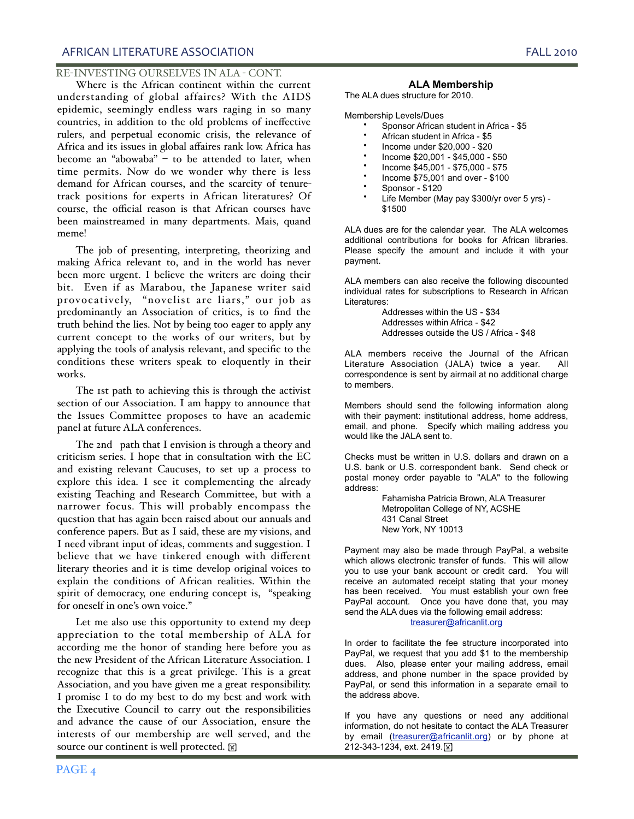#### AFRICAN'LITERATURE'ASSOCIATION FALL'2010

#### RE-INVESTING OURSELVES IN ALA - CONT.

Where is the African continent within the current understanding of global affaires? With the AIDS epidemic, seemingly endless wars raging in so many countries, in addition to the old problems of ineffective rulers, and perpetual economic crisis, the relevance of Africa and its issues in global affaires rank low. Africa has become an "abowaba" – to be attended to later, when time permits. Now do we wonder why there is less demand for African courses, and the scarcity of tenuretrack positions for experts in African literatures? Of course, the official reason is that African courses have been mainstreamed in many departments. Mais, quand meme!

The job of presenting, interpreting, theorizing and making Africa relevant to, and in the world has never been more urgent. I believe the writers are doing their bit. Even if as Marabou, the Japanese writer said provocatively, "novelist are liars," our job as predominantly an Association of critics, is to find the truth behind the lies. Not by being too eager to apply any current concept to the works of our writers, but by applying the tools of analysis relevant, and specific to the conditions these writers speak to eloquently in their works.

The 1st path to achieving this is through the activist section of our Association. I am happy to announce that the Issues Committee proposes to have an academic panel at future ALA conferences.

The 2nd path that I envision is through a theory and criticism series. I hope that in consultation with the EC and existing relevant Caucuses, to set up a process to explore this idea. I see it complementing the already existing Teaching and Research Committee, but with a narrower focus. This will probably encompass the question that has again been raised about our annuals and conference papers. But as I said, these are my visions, and I need vibrant input of ideas, comments and suggestion. I believe that we have tinkered enough with different literary theories and it is time develop original voices to explain the conditions of African realities. Within the spirit of democracy, one enduring concept is, "speaking for oneself in one's own voice."

Let me also use this opportunity to extend my deep appreciation to the total membership of ALA for according me the honor of standing here before you as the new President of the African Literature Association. I recognize that this is a great privilege. This is a great Association, and you have given me a great responsibility. I promise I to do my best to do my best and work with the Executive Council to carry out the responsibilities and advance the cause of our Association, ensure the interests of our membership are well served, and the source our continent is well protected. <a>[8]</a>

#### PAGE<sub>4</sub>

The ALA dues structure for 2010.

Membership Levels/Dues

- Sponsor African student in Africa \$5
- African student in Africa \$5
- Income under \$20,000 \$20
- Income \$20,001 \$45,000 \$50
- Income \$45,001 \$75,000 \$75
- Income \$75,001 and over \$100
- Sponsor \$120
- Life Member (May pay \$300/yr over 5 yrs) \$1500

ALA dues are for the calendar year. The ALA welcomes additional contributions for books for African libraries. Please specify the amount and include it with your payment.

ALA members can also receive the following discounted individual rates for subscriptions to Research in African Literatures:

> Addresses within the US - \$34 Addresses within Africa - \$42 Addresses outside the US / Africa - \$48

ALA members receive the Journal of the African Literature Association (JALA) twice a year. All correspondence is sent by airmail at no additional charge to members.

Members should send the following information along with their payment: institutional address, home address, email, and phone. Specify which mailing address you would like the JALA sent to.

Checks must be written in U.S. dollars and drawn on a U.S. bank or U.S. correspondent bank. Send check or postal money order payable to "ALA" to the following address:

> Fahamisha Patricia Brown, ALA Treasurer Metropolitan College of NY, ACSHE 431 Canal Street New York, NY 10013

Payment may also be made through PayPal, a website which allows electronic transfer of funds. This will allow you to use your bank account or credit card. You will receive an automated receipt stating that your money has been received. You must establish your own free PayPal account. Once you have done that, you may send the ALA dues via the following email address:

[treasurer@africanlit.org](mailto:treasurer@africanlit.org)

In order to facilitate the fee structure incorporated into PayPal, we request that you add \$1 to the membership dues. Also, please enter your mailing address, email address, and phone number in the space provided by PayPal, or send this information in a separate email to the address above.

If you have any questions or need any additional information, do not hesitate to contact the ALA Treasurer by email [\(treasurer@africanlit.org\)](mailto:ALATreasury@mcny.edu) or by phone at 212-343-1234, ext. 2419. X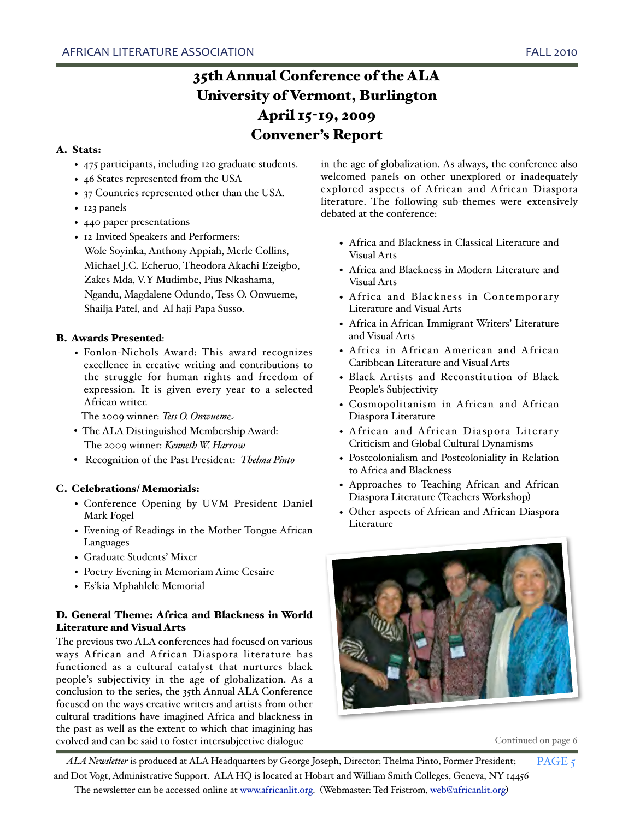## 35th Annual Conference of the ALA University of Vermont, Burlington April 15-19, 2009 Convener's Report

#### A. Stats:

- 475 participants, including 120 graduate students.
- 46 States represented from the USA
- 37 Countries represented other than the USA.
- 123 panels
- 440 paper presentations
- 12 Invited Speakers and Performers: Wole Soyinka, Anthony Appiah, Merle Collins, Michael J.C. Echeruo, Theodora Akachi Ezeigbo, Zakes Mda, V.Y Mudimbe, Pius Nkashama, Ngandu, Magdalene Odundo, Tess O. Onwueme, Shailja Patel, and Al haji Papa Susso.

#### B. Awards Presented:

• Fonlon-Nichols Award: This award recognizes excellence in creative writing and contributions to the struggle for human rights and freedom of expression. It is given every year to a selected African writer.

The 2009 winner: *Tess O. Onwueme*

- The ALA Distinguished Membership Award: The 2009 winner: *Kenneth W. Harrow*
- Recognition of the Past President: *Thelma Pinto*

#### C. Celebrations/ Memorials:

- Conference Opening by UVM President Daniel Mark Fogel
- Evening of Readings in the Mother Tongue African Languages
- Graduate Students' Mixer
- Poetry Evening in Memoriam Aime Cesaire
- Es'kia Mphahlele Memorial

#### D. General Theme: Africa and Blackness in World Literature and Visual Arts

The previous two ALA conferences had focused on various ways African and African Diaspora literature has functioned as a cultural catalyst that nurtures black people's subjectivity in the age of globalization. As a conclusion to the series, the 35th Annual ALA Conference focused on the ways creative writers and artists from other cultural traditions have imagined Africa and blackness in the past as well as the extent to which that imagining has evolved and can be said to foster intersubjective dialogue

in the age of globalization. As always, the conference also welcomed panels on other unexplored or inadequately explored aspects of African and African Diaspora literature. The following sub-themes were extensively debated at the conference:

- Africa and Blackness in Classical Literature and Visual Arts
- Africa and Blackness in Modern Literature and Visual Arts
- Africa and Blackness in Contemporary Literature and Visual Arts
- Africa in African Immigrant Writers' Literature and Visual Arts
- Africa in African American and African Caribbean Literature and Visual Arts
- Black Artists and Reconstitution of Black People's Subjectivity
- Cosmopolitanism in African and African Diaspora Literature
- African and African Diaspora Literary Criticism and Global Cultural Dynamisms
- Postcolonialism and Postcoloniality in Relation to Africa and Blackness
- Approaches to Teaching African and African Diaspora Literature (Teachers Workshop)
- Other aspects of African and African Diaspora Literature



Continued on page 6

*ALA Newsletter* is produced at ALA Headquarters by George Joseph, Director; Thelma Pinto, Former President; and Dot Vogt, Administrative Support. ALA HQ is located at Hobart and William Smith Colleges, Geneva, NY 14456 The newsletter can be accessed online at [www.africanlit.org.](http://www.africanlit.org) (Webmaster: Ted Fristrom, [web@africanlit.org](mailto:web@africanlit.org)) PAGE<sub>5</sub>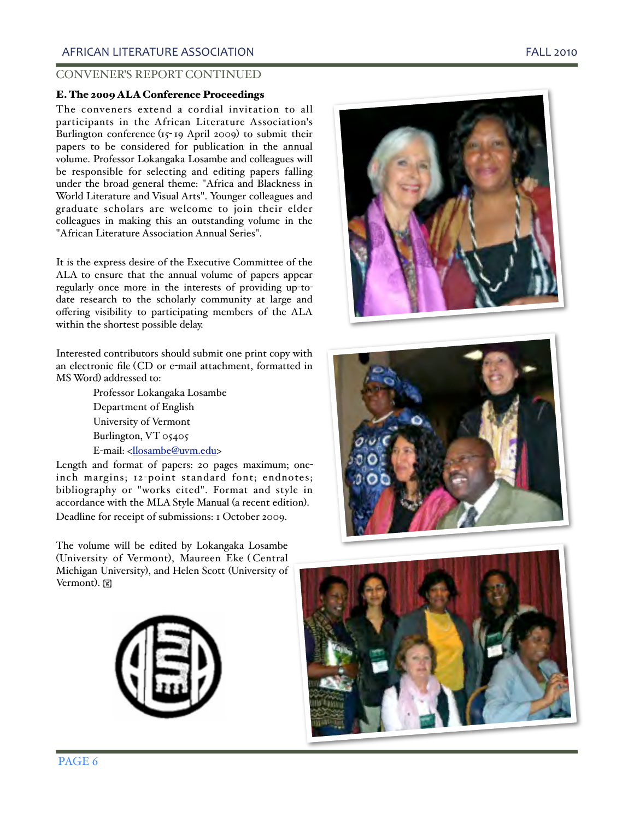#### CONVENER'S REPORT CONTINUED

#### E. The 2009 ALA Conference Proceedings

The conveners extend a cordial invitation to all participants in the African Literature Association's Burlington conference (15-19 April 2009) to submit their papers to be considered for publication in the annual volume. Professor Lokangaka Losambe and colleagues will be responsible for selecting and editing papers falling under the broad general theme: "Africa and Blackness in World Literature and Visual Arts". Younger colleagues and graduate scholars are welcome to join their elder colleagues in making this an outstanding volume in the "African Literature Association Annual Series".

It is the express desire of the Executive Committee of the ALA to ensure that the annual volume of papers appear regularly once more in the interests of providing up-todate research to the scholarly community at large and offering visibility to participating members of the ALA within the shortest possible delay.

Interested contributors should submit one print copy with an electronic file (CD or e-mail attachment, formatted in MS Word) addressed to:

> Professor Lokangaka Losambe Department of English University of Vermont Burlington, VT 05405 E-mail: [<llosambe@uvm.edu>](mailto:llosambe@uvm.edu)

Length and format of papers: 20 pages maximum; oneinch margins; 12-point standard font; endnotes; bibliography or "works cited". Format and style in accordance with the MLA Style Manual (a recent edition). Deadline for receipt of submissions: 1 October 2009.

The volume will be edited by Lokangaka Losambe (University of Vermont), Maureen Eke ( Central Michigan University), and Helen Scott (University of Vermont). M







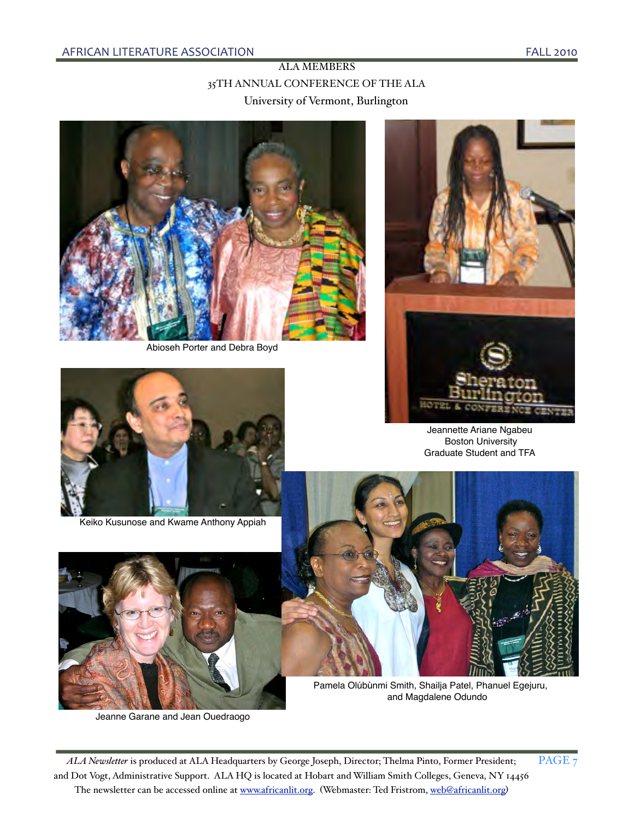#### ALA MEMBERS 35TH ANNUAL CONFERENCE OF THE ALA University of Vermont, Burlington



Abioseh Porter and Debra Boyd



Jeannette Ariane Ngabeu Boston University Graduate Student and TFA



Keiko Kusunose and Kwame Anthony Appiah



Jeanne Garane and Jean Ouedraogo



Pamela Olúbùnmi Smith, Shailja Patel, Phanuel Egejuru, and Magdalene Odundo

PAGE<sub>7</sub>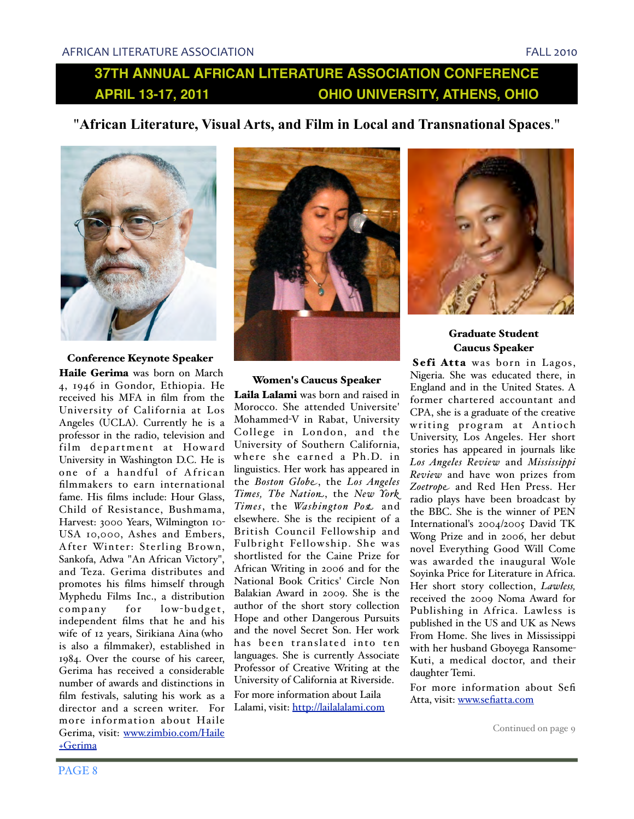## **37TH ANNUAL AFRICAN LITERATURE ASSOCIATION CONFERENCE APRIL 13-17, 2011 OHIO UNIVERSITY, ATHENS, OHIO**

#### "**African Literature, Visual Arts, and Film in Local and Transnational Spaces**."



#### Conference Keynote Speaker

Haile Gerima was born on March 4, 1946 in Gondor, Ethiopia. He received his MFA in film from the University of California at Los Angeles (UCLA). Currently he is a professor in the radio, television and film department at Howard University in Washington D.C. He is one of a handful of African filmmakers to earn international fame. His films include: Hour Glass, Child of Resistance, Bushmama, Harvest: 3000 Years, Wilmington 10- USA 10,000, Ashes and Embers, After Winter: Sterling Brown, Sankofa, Adwa "An African Victory", and Teza. Gerima distributes and promotes his films himself through Myphedu Films Inc., a distribution company for low-budget, independent films that he and his wife of 12 years, Sirikiana Aina (who is also a filmmaker), established in 1984. Over the course of his career, Gerima has received a considerable number of awards and distinctions in film festivals, saluting his work as a director and a screen writer. For more information about Haile Gerima, visit: [www.zimbio.com/Haile](http://www.zimbio.com/Haile+Gerima) [+Gerima](http://www.zimbio.com/Haile+Gerima)



#### Women's Caucus Speaker

Laila Lalami was born and raised in Morocco. She attended Universite' Mohammed-V in Rabat, University College in London, and the University of Southern California, where she ear ned a Ph.D. in linguistics. Her work has appeared in the *Boston Globe*, the *Los Angeles Times, The Nation*, the *New York Times*, the *Washington Post* and elsewhere. She is the recipient of a British Council Fellowship and Fulbright Fellowship. She was shortlisted for the Caine Prize for African Writing in 2006 and for the National Book Critics' Circle Non Balakian Award in 2009. She is the author of the short story collection Hope and other Dangerous Pursuits and the novel Secret Son. Her work has been translated into ten languages. She is currently Associate Professor of Creative Writing at the University of California at Riverside. For more information about Laila Lalami, visit:<http://lailalalami.com>



#### Graduate Student Caucus Speaker

Sefi Atta was born in Lagos, Nigeria. She was educated there, in England and in the United States. A former chartered accountant and CPA, she is a graduate of the creative writing program at Antioch University, Los Angeles. Her short stories has appeared in journals like *Los Angeles Review* and *Mississippi Review* and have won prizes from *Zoetrope* and Red Hen Press. Her radio plays have been broadcast by the BBC. She is the winner of PEN International's 2004/2005 David TK Wong Prize and in 2006, her debut novel Everything Good Will Come was awarded the inaugural Wole Soyinka Price for Literature in Africa. Her short story collection, *Lawless,* received the 2009 Noma Award for Publishing in Africa. Lawless is published in the US and UK as News From Home. She lives in Mississippi with her husband Gboyega Ransome-Kuti, a medical doctor, and their daughter Temi.

For more information about Sefi Atta, visit: [www.sefiatta.com](http://www.sefiatta.com)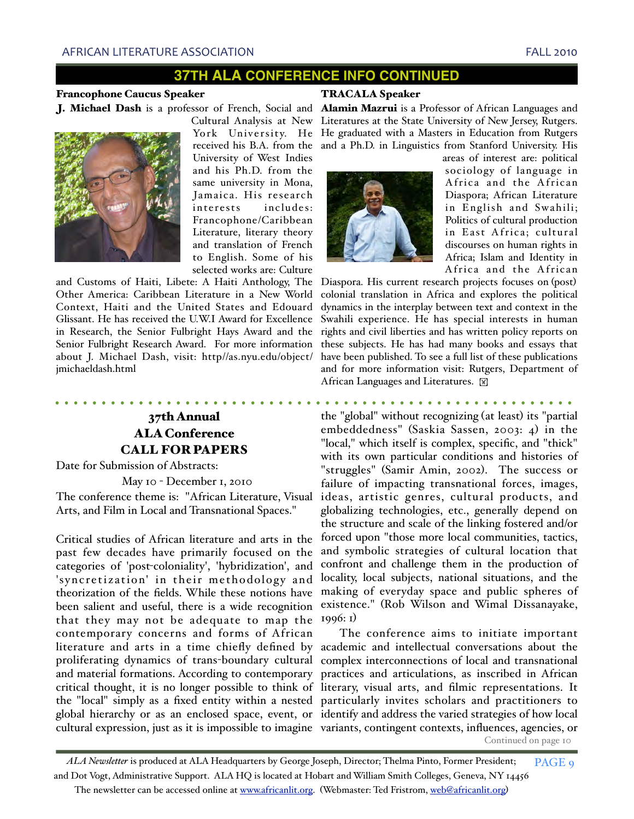#### **37TH ALA CONFERENCE INFO CONTINUED**

Francophone Caucus Speaker



Cultural Analysis at New received his B.A. from the University of West Indies and his Ph.D. from the same university in Mona, Jamaica. His research interests includes: Francophone/Caribbean Literature, literary theory and translation of French to English. Some of his selected works are: Culture

and Customs of Haiti, Libete: A Haiti Anthology, The Other America: Caribbean Literature in a New World Context, Haiti and the United States and Edouard Glissant. He has received the U.W.I Award for Excellence in Research, the Senior Fulbright Hays Award and the Senior Fulbright Research Award. For more information about J. Michael Dash, visit: http//as.nyu.edu/object/ jmichaeldash.html

#### 37th Annual ALA Conference CALL FOR PAPERS

Date for Submission of Abstracts: May 10 - December 1, 2010

The conference theme is: "African Literature, Visual Arts, and Film in Local and Transnational Spaces."

Critical studies of African literature and arts in the past few decades have primarily focused on the categories of 'post-coloniality', 'hybridization', and 'syncretization' in their methodology and theorization of the fields. While these notions have been salient and useful, there is a wide recognition that they may not be adequate to map the contemporary concerns and forms of African literature and arts in a time chiefly defined by academic and intellectual conversations about the proliferating dynamics of trans-boundary cultural complex interconnections of local and transnational and material formations. According to contemporary practices and articulations, as inscribed in African critical thought, it is no longer possible to think of literary, visual arts, and filmic representations. It the "local" simply as a fixed entity within a nested particularly invites scholars and practitioners to global hierarchy or as an enclosed space, event, or identify and address the varied strategies of how local

#### TRACALA Speaker

J. Michael Dash is a professor of French, Social and Alamin Mazrui is a Professor of African Languages and York University. He He graduated with a Masters in Education from Rutgers Literatures at the State University of New Jersey, Rutgers. and a Ph.D. in Linguistics from Stanford University. His



areas of interest are: political sociology of language in Africa and the African Diaspora; African Literature in English and Swahili; Politics of cultural production in East Africa; cultural discourses on human rights in Africa; Islam and Identity in Africa and the African

Diaspora. His current research projects focuses on (post) colonial translation in Africa and explores the political dynamics in the interplay between text and context in the Swahili experience. He has special interests in human rights and civil liberties and has written policy reports on these subjects. He has had many books and essays that have been published. To see a full list of these publications and for more information visit: Rutgers, Department of African Languages and Literatures. <a>

the "global" without recognizing (at least) its "partial embeddedness" (Saskia Sassen, 2003: 4) in the "local," which itself is complex, specific, and "thick" with its own particular conditions and histories of "struggles" (Samir Amin, 2002). The success or failure of impacting transnational forces, images, ideas, artistic genres, cultural products, and globalizing technologies, etc., generally depend on the structure and scale of the linking fostered and/or forced upon "those more local communities, tactics, and symbolic strategies of cultural location that confront and challenge them in the production of locality, local subjects, national situations, and the making of everyday space and public spheres of existence." (Rob Wilson and Wimal Dissanayake, 1996: 1)

cultural expression, just as it is impossible to imagine variants, contingent contexts, influences, agencies, or The conference aims to initiate important

Continued on page 10

*ALA Newsletter* is produced at ALA Headquarters by George Joseph, Director; Thelma Pinto, Former President; and Dot Vogt, Administrative Support. ALA HQ is located at Hobart and William Smith Colleges, Geneva, NY 14456 The newsletter can be accessed online at [www.africanlit.org.](http://www.africanlit.org) (Webmaster: Ted Fristrom, [web@africanlit.org](mailto:web@africanlit.org)) PAGE<sub>9</sub>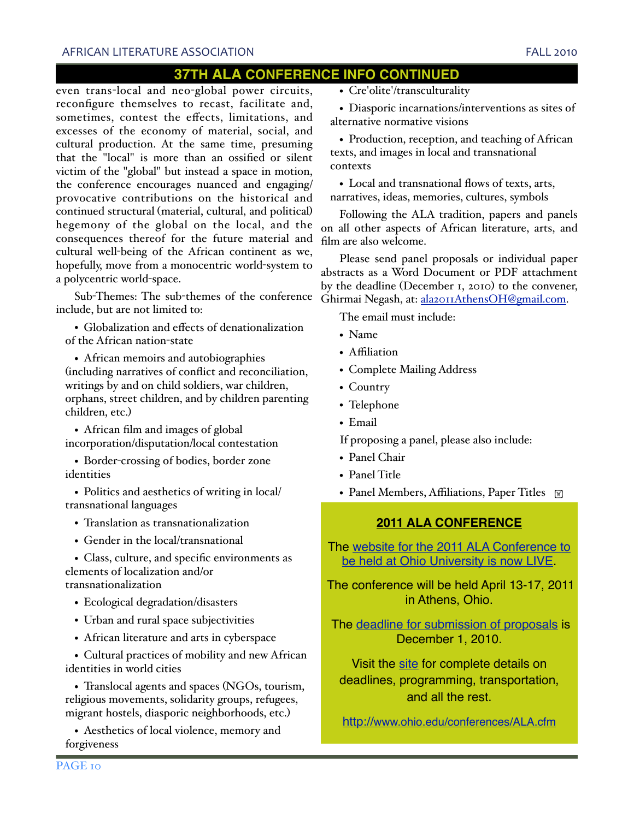#### AFRICAN'LITERATURE'ASSOCIATION FALL'2010

#### **37TH ALA CONFERENCE INFO CONTINUED**

even trans-local and neo-global power circuits, reconfigure themselves to recast, facilitate and, sometimes, contest the effects, limitations, and excesses of the economy of material, social, and cultural production. At the same time, presuming that the "local" is more than an ossified or silent victim of the "global" but instead a space in motion, the conference encourages nuanced and engaging/ provocative contributions on the historical and continued structural (material, cultural, and political) hegemony of the global on the local, and the consequences thereof for the future material and cultural well-being of the African continent as we, hopefully, move from a monocentric world-system to a polycentric world-space.

Sub-Themes: The sub-themes of the conference include, but are not limited to:

• Globalization and effects of denationalization of the African nation-state

• African memoirs and autobiographies (including narratives of conflict and reconciliation, writings by and on child soldiers, war children, orphans, street children, and by children parenting children, etc.)

• African film and images of global incorporation/disputation/local contestation

• Border-crossing of bodies, border zone identities

• Politics and aesthetics of writing in local/ transnational languages

- Translation as transnationalization
- Gender in the local/transnational

• Class, culture, and specific environments as elements of localization and/or transnationalization

- Ecological degradation/disasters
- Urban and rural space subjectivities
- African literature and arts in cyberspace

• Cultural practices of mobility and new African identities in world cities

• Translocal agents and spaces (NGOs, tourism, religious movements, solidarity groups, refugees, migrant hostels, diasporic neighborhoods, etc.)

• Aesthetics of local violence, memory and forgiveness

• Cre'olite'/transculturality

• Diasporic incarnations/interventions as sites of alternative normative visions

• Production, reception, and teaching of African texts, and images in local and transnational contexts

• Local and transnational flows of texts, arts, narratives, ideas, memories, cultures, symbols

Following the ALA tradition, papers and panels on all other aspects of African literature, arts, and film are also welcome.

Please send panel proposals or individual paper abstracts as a Word Document or PDF attachment by the deadline (December 1, 2010) to the convener, Ghirmai Negash, at: [ala2011AthensOH@gmail.com.](mailto:ala2011AthensOH@gmail.com)

The email must include:

- Name
- Affiliation
- Complete Mailing Address
- Country
- Telephone
- Email
- If proposing a panel, please also include:
- Panel Chair
- Panel Title
- Panel Members, Affiliations, Paper Titles  $\boxtimes$

#### **2011 ALA CONFERENCE**

The [website for the 2011 ALA Conference to](http://www.ohio.edu/conferences/ALA.cfm)  [be held at Ohio University is now LIVE.](http://www.ohio.edu/conferences/ALA.cfm)

 The conference will be held April 13-17, 2011 in Athens, Ohio.

The [deadline for submission of proposals](http://www.ohio.edu/conferences/ALA_CFP.cfm) is December 1, 2010.

Visit the [site](http://www.ohio.edu/conferences/ALA.cfm) for complete details on deadlines, programming, transportation, and all the rest.

<http://www.ohio.edu/conferences/ALA.cfm>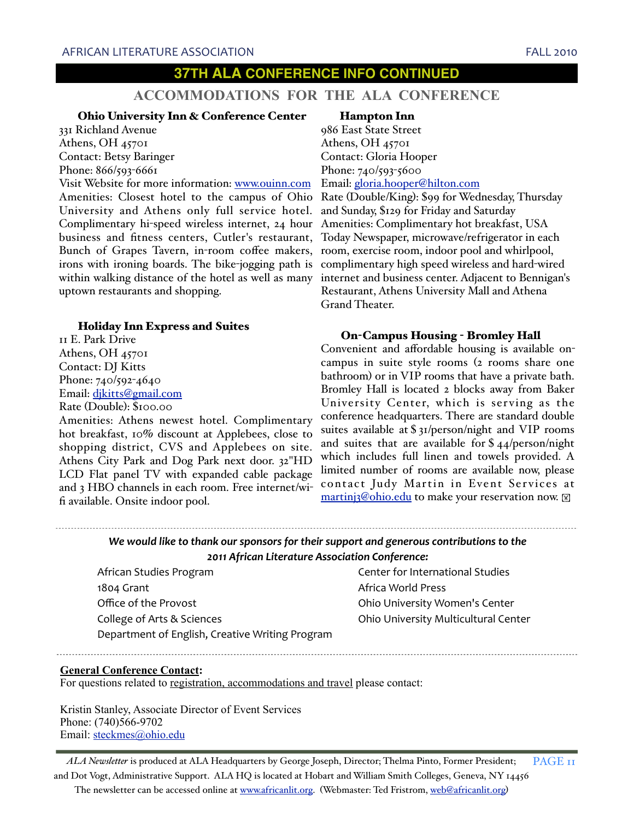#### **ACCOMMODATIONS FOR THE ALA CONFERENCE**

#### Ohio University Inn & Conference Center

331 Richland Avenue Athens, OH 45701 Contact: Betsy Baringer Phone: 866/593-6661

Visit Website for more information: [www.ouinn.com](http://www.ouinn.com/) Amenities: Closest hotel to the campus of Ohio University and Athens only full service hotel. Complimentary hi-speed wireless internet, 24 hour business and fitness centers, Cutler's restaurant, Bunch of Grapes Tavern, in-room coffee makers, irons with ironing boards. The bike-jogging path is within walking distance of the hotel as well as many uptown restaurants and shopping.

#### Holiday Inn Express and Suites

11 E. Park Drive Athens, OH 45701 Contact: DJ Kitts Phone: 740/592-4640 Email: [djkitts@gmail.com](mailto:djkitts@gmail.com) Rate (Double): \$100.00

Amenities: Athens newest hotel. Complimentary hot breakfast, 10% discount at Applebees, close to shopping district, CVS and Applebees on site. Athens City Park and Dog Park next door. 32"HD LCD Flat panel TV with expanded cable package and 3 HBO channels in each room. Free internet/wifi available. Onsite indoor pool.

#### Hampton Inn

986 East State Street Athens, OH 45701 Contact: Gloria Hooper Phone: 740/593-5600 Email: [gloria.hooper@hilton.com](mailto:gloria.hooper@hilton.com)

Rate (Double/King): \$99 for Wednesday, Thursday and Sunday, \$129 for Friday and Saturday Amenities: Complimentary hot breakfast, USA Today Newspaper, microwave/refrigerator in each room, exercise room, indoor pool and whirlpool, complimentary high speed wireless and hard-wired internet and business center. Adjacent to Bennigan's Restaurant, Athens University Mall and Athena Grand Theater.

#### On-Campus Housing - Bromley Hall

Convenient and affordable housing is available oncampus in suite style rooms (2 rooms share one bathroom) or in VIP rooms that have a private bath. Bromley Hall is located 2 blocks away from Baker University Center, which is serving as the conference headquarters. There are standard double suites available at \$ 31/person/night and VIP rooms and suites that are available for \$ 44/person/night which includes full linen and towels provided. A limited number of rooms are available now, please contact Judy Martin in Event Services at [martinj3@ohio.edu](mailto:martinj3@ohio.edu) to make your reservation now. <a>[8]</a>

#### We would like to thank our sponsors for their support and generous contributions to the *2011#African#Literature#Association#Conference:*

African Studies Program **1988** 2012 12:30 Center for International Studies 1804 Grant | 1804 Grant | 1804 Grant | 1804 Grant | 1804 Grant | 1805 Grant | 1806 Grant | 1806 Grant | 1806 G Office of the Provost **1988** 2012 10: Ohio University Women's Center College of Arts & Sciences **1.2. It is a set of Arts & Sciences** 1.2. It is possible University Multicultural Center Department of English, Creative Writing Program

#### **General Conference Contact:**

For questions related to registration, accommodations and travel please contact:

Kristin Stanley, Associate Director of Event Services Phone: (740)566-9702 Email: [steckmes@ohio.edu](mailto:steckmes@ohio.edu)

*ALA Newsletter* is produced at ALA Headquarters by George Joseph, Director; Thelma Pinto, Former President; and Dot Vogt, Administrative Support. ALA HQ is located at Hobart and William Smith Colleges, Geneva, NY 14456 PAGE II

The newsletter can be accessed online at [www.africanlit.org.](http://www.africanlit.org) (Webmaster: Ted Fristrom, [web@africanlit.org](mailto:web@africanlit.org))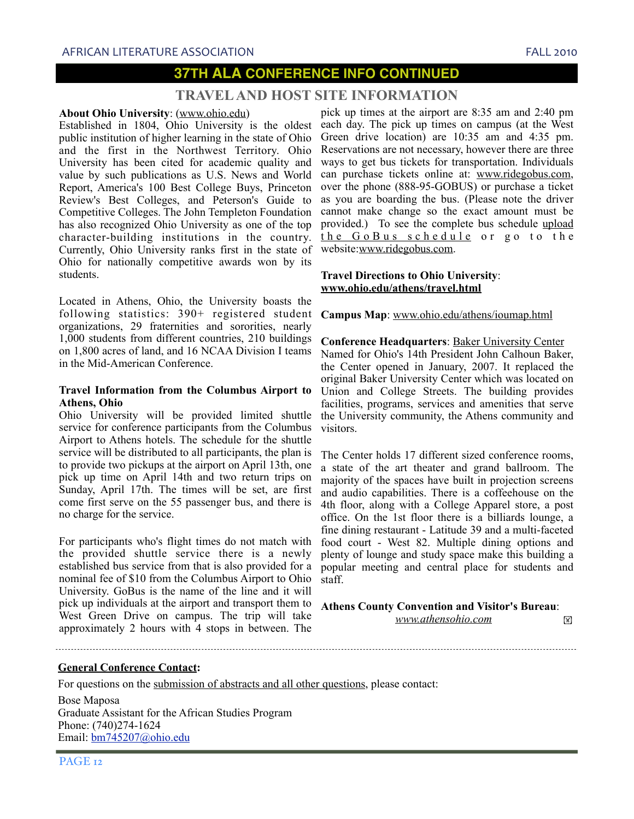#### **TRAVEL AND HOST SITE INFORMATION**

#### **About Ohio University**: [\(www.ohio.edu\)](http://www.ohio.edu)

Established in 1804, Ohio University is the oldest public institution of higher learning in the state of Ohio and the first in the Northwest Territory. Ohio University has been cited for academic quality and value by such publications as U.S. News and World Report, America's 100 Best College Buys, Princeton Review's Best Colleges, and Peterson's Guide to Competitive Colleges. The John Templeton Foundation has also recognized Ohio University as one of the top character-building institutions in the country. Currently, Ohio University ranks first in the state of Ohio for nationally competitive awards won by its students.

Located in Athens, Ohio, the University boasts the following statistics: 390+ registered student organizations, 29 fraternities and sororities, nearly 1,000 students from different countries, 210 buildings on 1,800 acres of land, and 16 NCAA Division I teams in the Mid-American Conference.

#### **Travel Information from the Columbus Airport to Athens, Ohio**

Ohio University will be provided limited shuttle service for conference participants from the Columbus Airport to Athens hotels. The schedule for the shuttle service will be distributed to all participants, the plan is to provide two pickups at the airport on April 13th, one pick up time on April 14th and two return trips on Sunday, April 17th. The times will be set, are first come first serve on the 55 passenger bus, and there is no charge for the service.

For participants who's flight times do not match with the provided shuttle service there is a newly established bus service from that is also provided for a nominal fee of \$10 from the Columbus Airport to Ohio University. GoBus is the name of the line and it will pick up individuals at the airport and transport them to West Green Drive on campus. The trip will take approximately 2 hours with 4 stops in between. The

pick up times at the airport are 8:35 am and 2:40 pm each day. The pick up times on campus (at the West Green drive location) are 10:35 am and 4:35 pm. Reservations are not necessary, however there are three ways to get bus tickets for transportation. Individuals can purchase tickets online at: [www.ridegobus.com,](http://www.ridegobus.com) over the phone (888-95-GOBUS) or purchase a ticket as you are boarding the bus. (Please note the driver cannot make change so the exact amount must be provided.) To see the complete bus schedule upload the GoBus schedule or go to the website[:www.ridegobus.com.](http://www.ridegobus.com)

#### **Travel Directions to Ohio University**: **[www.ohio.edu/athens/travel.html](http://www.ohio.edu/athens/travel.html)**

#### **Campus Map**: [www.ohio.edu/athens/ioumap.html](http://www.ohio.edu/athens/ioumap.html)

**Conference Headquarters**: Baker University Center Named for Ohio's 14th President John Calhoun Baker, the Center opened in January, 2007. It replaced the original Baker University Center which was located on Union and College Streets. The building provides facilities, programs, services and amenities that serve the University community, the Athens community and visitors.

The Center holds 17 different sized conference rooms, a state of the art theater and grand ballroom. The majority of the spaces have built in projection screens and audio capabilities. There is a coffeehouse on the 4th floor, along with a College Apparel store, a post office. On the 1st floor there is a billiards lounge, a fine dining restaurant - Latitude 39 and a multi-faceted food court - West 82. Multiple dining options and plenty of lounge and study space make this building a popular meeting and central place for students and staff.

**Athens County Convention and Visitor's Bureau**: *[www.athensohio.com](http://www.athensohio.com)* !

#### **General Conference Contact:**

For questions on the submission of abstracts and all other questions, please contact:

Bose Maposa Graduate Assistant for the African Studies Program Phone: (740)274-1624 Email: [bm745207@ohio.edu](mailto:bm745207@ohio.edu)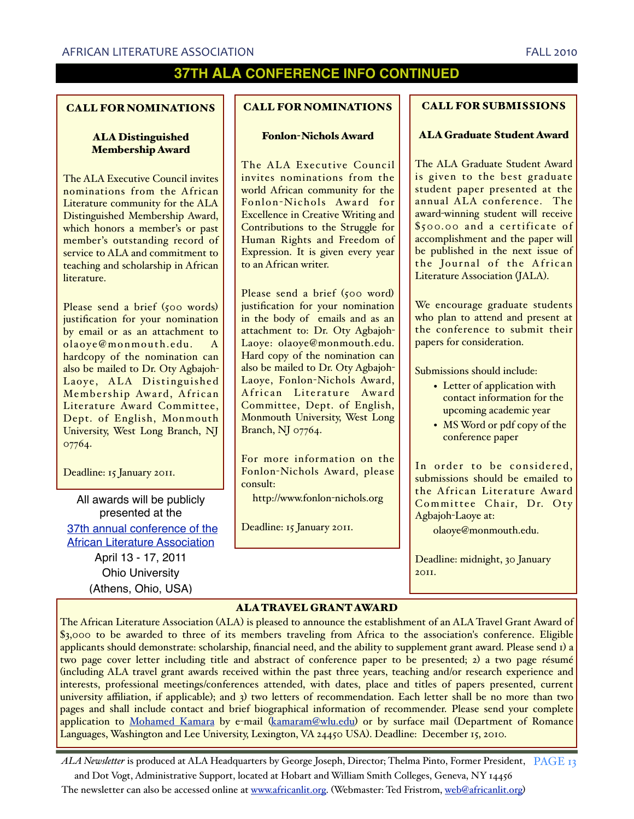### **37TH ALA CONFERENCE INFO CONTINUED**

#### CALL FOR NOMINATIONS

#### ALA Distinguished Membership Award

The ALA Executive Council invites nominations from the African Literature community for the ALA Distinguished Membership Award, which honors a member's or past member's outstanding record of service to ALA and commitment to teaching and scholarship in African literature.

Please send a brief (500 words) justification for your nomination by email or as an attachment to [olaoye@monmouth.edu.](mailto:olaoye@monmouth.edu) A hardcopy of the nomination can also be mailed to Dr. Oty Agbajoh-Laoye, ALA Distinguished Membership Award, African Literature Award Committee, Dept. of English, Monmouth University, West Long Branch, NJ 07764.

Deadline: 15 January 2011.

All awards will be publicly presented at the [37th annual conference of the](http://www.ohio.edu/conferences/ala.cfm)  [African Literature Association](http://www.ohio.edu/conferences/ala.cfm)

> April 13 - 17, 2011 Ohio University (Athens, Ohio, USA)

#### CALL FOR NOMINATIONS

#### Fonlon-Nichols Award

The ALA Executive Council invites nominations from the world African community for the Fonlon-Nichols Award for Excellence in Creative Writing and Contributions to the Struggle for Human Rights and Freedom of Expression. It is given every year to an African writer.

Please send a brief (500 word) justification for your nomination in the body of emails and as an attachment to: Dr. Oty Agbajoh-Laoye: [olaoye@monmouth.edu.](mailto:olaoye@monmouth.edu) Hard copy of the nomination can also be mailed to Dr. Oty Agbajoh-Laoye, Fonlon-Nichols Award, African Literature Award Committee, Dept. of English, Monmouth University, West Long Branch, NJ 07764.

For more information on the Fonlon-Nichols Award, please consult:

[http://www.fonlon](http://www.fonlon-nichols.org/)-nichols.org

Deadline: 15 January 2011.

#### CALL FOR SUBMISSIONS

#### ALA Graduate Student Award

The ALA Graduate Student Award is given to the best graduate student paper presented at the annual ALA conference. The award-winning student will receive \$500.00 and a certificate of accomplishment and the paper will be published in the next issue of the Journal of the African Literature Association (JALA).

We encourage graduate students who plan to attend and present at the conference to submit their papers for consideration.

Submissions should include:

- Letter of application with contact information for the upcoming academic year
- MS Word or pdf copy of the conference paper

In order to be considered, submissions should be emailed to the African Literature Award Committee Chair, Dr. Oty Agbajoh-Laoye at:

[olaoye@monmouth.edu.](mailto:olaoye@monmouth.edu)

Deadline: midnight, 30 January 2011.

#### ALA TRAVEL GRANT AWARD

The African Literature Association (ALA) is pleased to announce the establishment of an ALA Travel Grant Award of \$3,000 to be awarded to three of its members traveling from Africa to the association's conference. Eligible applicants should demonstrate: scholarship, financial need, and the ability to supplement grant award. Please send 1) a two page cover letter including title and abstract of conference paper to be presented; 2) a two page résumé (including ALA travel grant awards received within the past three years, teaching and/or research experience and interests, professional meetings/conferences attended, with dates, place and titles of papers presented, current university affiliation, if applicable); and 3) two letters of recommendation. Each letter shall be no more than two pages and shall include contact and brief biographical information of recommender. Please send your complete application to [Mohamed Kamara](mailto:kamaram@wlu.edu) by e-mail ([kamaram@wlu.edu](mailto:kamaram@wlu.edu)) or by surface mail (Department of Romance Languages, Washington and Lee University, Lexington, VA 24450 USA). Deadline: December 15, 2010.

*ALA Newsletter* is produced at ALA Headquarters by George Joseph, Director; Thelma Pinto, Former President, PAGE 13and Dot Vogt, Administrative Support, located at Hobart and William Smith Colleges, Geneva, NY 14456 The newsletter can also be accessed online at [www.africanlit.org.](http://www.africanlit.org) (Webmaster: Ted Fristrom, [web@africanlit.org](mailto:web@africanlit.org))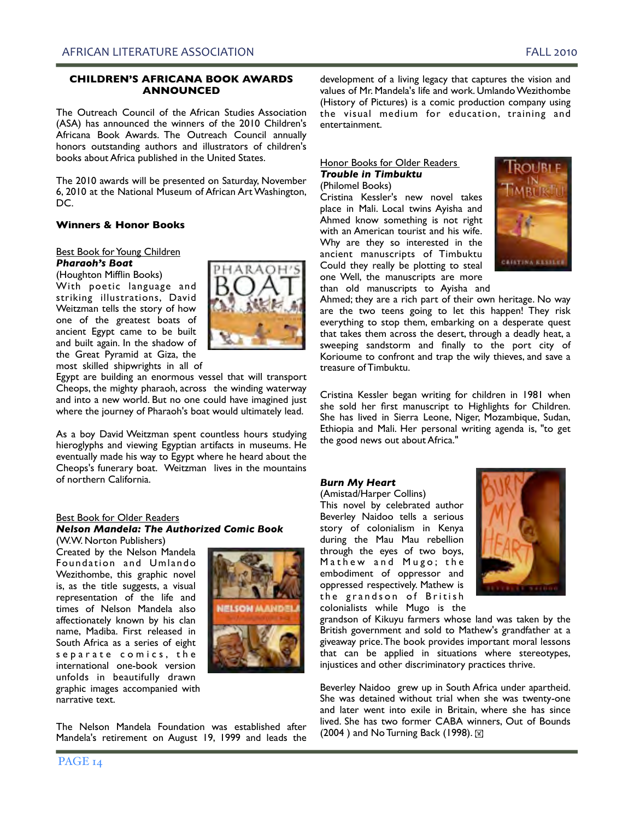#### **CHILDREN'S AFRICANA BOOK AWARDS ANNOUNCED**

The Outreach Council of the African Studies Association (ASA) has announced the winners of the 2010 Children's Africana Book Awards. The Outreach Council annually honors outstanding authors and illustrators of children's books about Africa published in the United States.

The 2010 awards will be presented on Saturday, November 6, 2010 at the National Museum of African Art Washington, DC.

#### **Winners & Honor Books**

#### Best Book for Young Children

#### *Pharaoh's Boat*

(Houghton Mifflin Books) With poetic language and striking illustrations, David Weitzman tells the story of how one of the greatest boats of ancient Egypt came to be built and built again. In the shadow of the Great Pyramid at Giza, the most skilled shipwrights in all of



Egypt are building an enormous vessel that will transport Cheops, the mighty pharaoh, across the winding waterway and into a new world. But no one could have imagined just where the journey of Pharaoh's boat would ultimately lead.

As a boy David Weitzman spent countless hours studying hieroglyphs and viewing Egyptian artifacts in museums. He eventually made his way to Egypt where he heard about the Cheops's funerary boat. Weitzman lives in the mountains of northern California.

#### Best Book for Older Readers *Nelson Mandela: The Authorized Comic Book* (W.W. Norton Publishers)

Created by the Nelson Mandela Foundation and Umlando Wezithombe, this graphic novel is, as the title suggests, a visual representation of the life and times of Nelson Mandela also affectionately known by his clan name, Madiba. First released in South Africa as a series of eight separate comics, the international one-book version unfolds in beautifully drawn graphic images accompanied with narrative text.



The Nelson Mandela Foundation was established after Mandela's retirement on August 19, 1999 and leads the development of a living legacy that captures the vision and values of Mr. Mandela's life and work. Umlando Wezithombe (History of Pictures) is a comic production company using the visual medium for education, training and entertainment.

#### Honor Books for Older Readers *Trouble in Timbuktu*

(Philomel Books)

Cristina Kessler's new novel takes place in Mali. Local twins Ayisha and Ahmed know something is not right with an American tourist and his wife. Why are they so interested in the ancient manuscripts of Timbuktu Could they really be plotting to steal one Well, the manuscripts are more than old manuscripts to Ayisha and



Ahmed; they are a rich part of their own heritage. No way are the two teens going to let this happen! They risk everything to stop them, embarking on a desperate quest that takes them across the desert, through a deadly heat, a sweeping sandstorm and finally to the port city of Korioume to confront and trap the wily thieves, and save a treasure of Timbuktu.

Cristina Kessler began writing for children in 1981 when she sold her first manuscript to Highlights for Children. She has lived in Sierra Leone, Niger, Mozambique, Sudan, Ethiopia and Mali. Her personal writing agenda is, "to get the good news out about Africa."

#### *Burn My Heart*

(Amistad/Harper Collins) This novel by celebrated author Beverley Naidoo tells a serious story of colonialism in Kenya during the Mau Mau rebellion through the eyes of two boys, Mathew and Mugo; the embodiment of oppressor and oppressed respectively. Mathew is the grandson of British colonialists while Mugo is the



grandson of Kikuyu farmers whose land was taken by the British government and sold to Mathew's grandfather at a giveaway price. The book provides important moral lessons that can be applied in situations where stereotypes, injustices and other discriminatory practices thrive.

Beverley Naidoo grew up in South Africa under apartheid. She was detained without trial when she was twenty-one and later went into exile in Britain, where she has since lived. She has two former CABA winners, Out of Bounds (2004) and No Turning Back (1998).  $\mathbb{K}$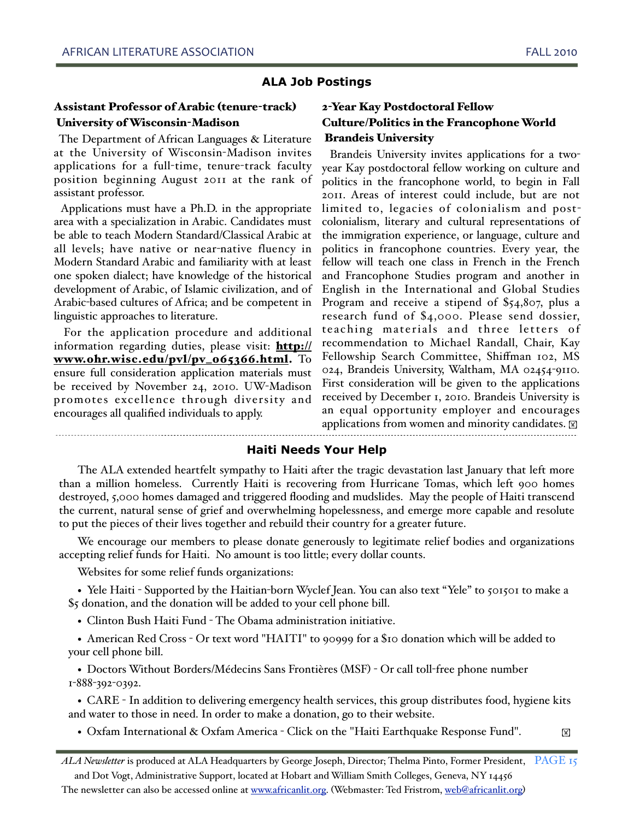#### **ALA Job Postings**

#### Assistant Professor of Arabic (tenure-track) University of Wisconsin-Madison

The Department of African Languages & Literature at the University of Wisconsin-Madison invites applications for a full-time, tenure-track faculty position beginning August 2011 at the rank of assistant professor.

Applications must have a Ph.D. in the appropriate area with a specialization in Arabic. Candidates must be able to teach Modern Standard/Classical Arabic at all levels; have native or near-native fluency in Modern Standard Arabic and familiarity with at least one spoken dialect; have knowledge of the historical development of Arabic, of Islamic civilization, and of Arabic-based cultures of Africa; and be competent in linguistic approaches to literature.

For the application procedure and additional information regarding duties, please visit: [http://](http://www.ohr.wisc.edu/pvl/pv_065366.html) [www.ohr.wisc.edu/pvl/pv\\_065366.html.](http://www.ohr.wisc.edu/pvl/pv_065366.html) To ensure full consideration application materials must be received by November 24, 2010. UW-Madison promotes excellence through diversity and encourages all qualified individuals to apply.

#### 2-Year Kay Postdoctoral Fellow Culture/Politics in the Francophone World Brandeis University

Brandeis University invites applications for a twoyear Kay postdoctoral fellow working on culture and politics in the francophone world, to begin in Fall 2011. Areas of interest could include, but are not limited to, legacies of colonialism and postcolonialism, literary and cultural representations of the immigration experience, or language, culture and politics in francophone countries. Every year, the fellow will teach one class in French in the French and Francophone Studies program and another in English in the International and Global Studies Program and receive a stipend of \$54,807, plus a research fund of \$4,000. Please send dossier, teaching materials and three letters of recommendation to Michael Randall, Chair, Kay Fellowship Search Committee, Shiffman 102, MS 024, Brandeis University, Waltham, MA 02454-9110. First consideration will be given to the applications received by December 1, 2010. Brandeis University is an equal opportunity employer and encourages applications from women and minority candidates.  $\mathbb{N}$ 

#### **Haiti Needs Your Help**

The ALA extended heartfelt sympathy to Haiti after the tragic devastation last January that left more than a million homeless. Currently Haiti is recovering from Hurricane Tomas, which left 900 homes destroyed, 5,000 homes damaged and triggered flooding and mudslides. May the people of Haiti transcend the current, natural sense of grief and overwhelming hopelessness, and emerge more capable and resolute to put the pieces of their lives together and rebuild their country for a greater future.

We encourage our members to please donate generously to legitimate relief bodies and organizations accepting relief funds for Haiti. No amount is too little; every dollar counts.

Websites for some relief funds organizations:

• [Yele Haiti](http://www.yele.org/) - Supported by the Haitian-born Wyclef Jean. You can also text "Yele" to 501501 to make a \$5 donation, and the donation will be added to your cell phone bill.

• [Clinton Bush Haiti Fund](http://www.clintonbushhaitifund.org/) - The Obama administration initiative.

• [American Red Cross](http://www.redcross.org/) - Or text word "HAITI" to 90999 for a \$10 donation which will be added to your cell phone bill.

• [Doctors Without Borders/Médecins Sans Frontières](http://www.doctorswithoutborders.org/) (MSF) - Or call toll-free phone number 1-888-392-0392.

• [CARE](http://www.care.org/) - In addition to delivering emergency health services, this group distributes food, hygiene kits and water to those in need. In order to make a donation, go to their website.

• [Oxfam International](http://www.oxfam.org/) & [Oxfam America](http://www.oxfamamerica.org/) - Click on the "Haiti Earthquake Response Fund".  $\boxtimes$ 

The newsletter can also be accessed online at [www.africanlit.org.](http://www.africanlit.org) (Webmaster: Ted Fristrom, [web@africanlit.org](mailto:web@africanlit.org))

*ALA Newsletter* is produced at ALA Headquarters by George Joseph, Director; Thelma Pinto, Former President, PAGE 15 and Dot Vogt, Administrative Support, located at Hobart and William Smith Colleges, Geneva, NY 14456